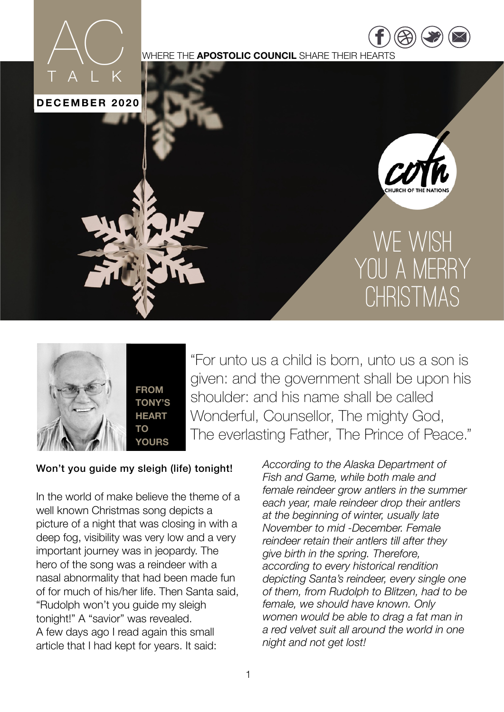

WHERE THE **APOSTOLIC COUNCIL** SHARE THEIR HEARTS

**DECEMBER 2020**

TALK

 $AC$ 



## WE WISH YOU A MERRY CHRISTMAS



"For unto us a child is born, unto us a son is given: and the government shall be upon his shoulder: and his name shall be called Wonderful, Counsellor, The mighty God, The everlasting Father, The Prince of Peace."

## Won't you guide my sleigh (life) tonight!

In the world of make believe the theme of a well known Christmas song depicts a picture of a night that was closing in with a deep fog, visibility was very low and a very important journey was in jeopardy. The hero of the song was a reindeer with a nasal abnormality that had been made fun of for much of his/her life. Then Santa said, "Rudolph won't you guide my sleigh tonight!" A "savior" was revealed. A few days ago I read again this small article that I had kept for years. It said:

*According to the Alaska Department of Fish and Game, while both male and female reindeer grow antlers in the summer each year, male reindeer drop their antlers at the beginning of winter, usually late November to mid -December. Female reindeer retain their antlers till after they give birth in the spring. Therefore, according to every historical rendition depicting Santa's reindeer, every single one of them, from Rudolph to Blitzen, had to be female, we should have known. Only women would be able to drag a fat man in a red velvet suit all around the world in one night and not get lost!*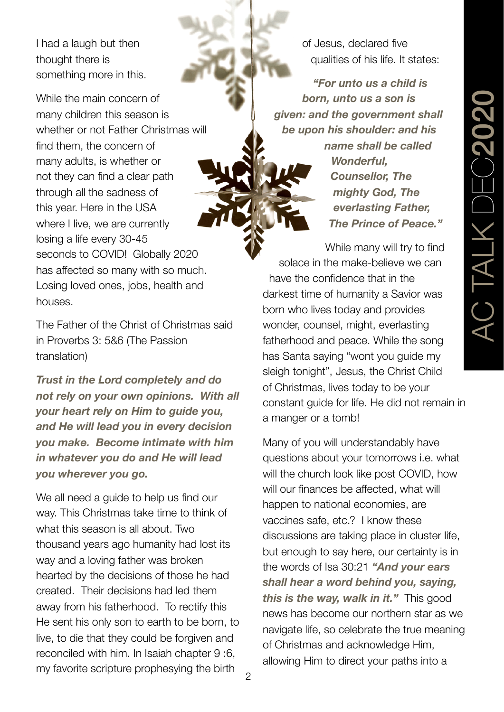I had a laugh but then thought there is something more in this.

While the main concern of many children this season is whether or not Father Christmas will find them, the concern of many adults, is whether or not they can find a clear path through all the sadness of this year. Here in the USA where I live, we are currently losing a life every 30-45 seconds to COVID! Globally 2020 has affected so many with so much. Losing loved ones, jobs, health and houses.

The Father of the Christ of Christmas said in Proverbs 3: 5&6 (The Passion translation)

*Trust in the Lord completely and do not rely on your own opinions. With all your heart rely on Him to guide you, and He will lead you in every decision you make. Become intimate with him in whatever you do and He will lead you wherever you go.*

We all need a quide to help us find our way. This Christmas take time to think of what this season is all about. Two thousand years ago humanity had lost its way and a loving father was broken hearted by the decisions of those he had created. Their decisions had led them away from his fatherhood. To rectify this He sent his only son to earth to be born, to live, to die that they could be forgiven and reconciled with him. In Isaiah chapter 9 :6, my favorite scripture prophesying the birth

of Jesus, declared five qualities of his life. It states:

*"For unto us a child is born, unto us a son is given: and the government shall be upon his shoulder: and his name shall be called Wonderful, Counsellor, The mighty God, The everlasting Father, The Prince of Peace."*

While many will try to find solace in the make-believe we can have the confidence that in the darkest time of humanity a Savior was born who lives today and provides wonder, counsel, might, everlasting fatherhood and peace. While the song has Santa saying "wont you guide my sleigh tonight", Jesus, the Christ Child of Christmas, lives today to be your constant guide for life. He did not remain in a manger or a tomb!

Many of you will understandably have questions about your tomorrows i.e. what will the church look like post COVID, how will our finances be affected, what will happen to national economies, are vaccines safe, etc.? I know these discussions are taking place in cluster life, but enough to say here, our certainty is in the words of Isa 30:21 *"And your ears shall hear a word behind you, saying, this is the way, walk in it."* This good news has become our northern star as we navigate life, so celebrate the true meaning of Christmas and acknowledge Him, allowing Him to direct your paths into a